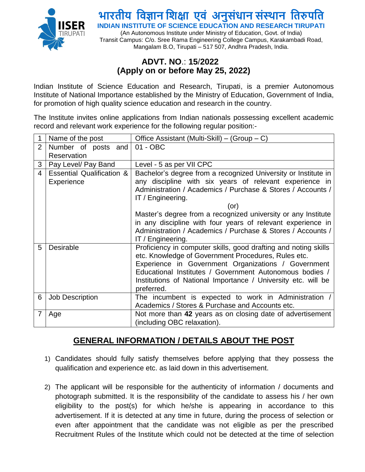

(An Autonomous Institute under Ministry of Education, Govt. of India) Transit Campus: C/o. Sree Rama Engineering College Campus, Karakambadi Road, Mangalam B.O, Tirupati – 517 507, Andhra Pradesh, India.

#### **ADVT. NO**.: **15**/**2022 (Apply on or before May 25, 2022)**

Indian Institute of Science Education and Research, Tirupati, is a premier Autonomous Institute of National Importance established by the Ministry of Education, Government of India, for promotion of high quality science education and research in the country.

The Institute invites online applications from Indian nationals possessing excellent academic record and relevant work experience for the following regular position:-

|                | Name of the post                                   | Office Assistant (Multi-Skill) – (Group – C)                                                                                                                                                                                                                                                                                                                                                                         |
|----------------|----------------------------------------------------|----------------------------------------------------------------------------------------------------------------------------------------------------------------------------------------------------------------------------------------------------------------------------------------------------------------------------------------------------------------------------------------------------------------------|
| $\overline{2}$ | Number of posts and                                | 01 - OBC                                                                                                                                                                                                                                                                                                                                                                                                             |
|                | Reservation                                        |                                                                                                                                                                                                                                                                                                                                                                                                                      |
| 3              | Pay Level/ Pay Band                                | Level - 5 as per VII CPC                                                                                                                                                                                                                                                                                                                                                                                             |
| $\overline{4}$ | <b>Essential Qualification &amp;</b><br>Experience | Bachelor's degree from a recognized University or Institute in<br>any discipline with six years of relevant experience in<br>Administration / Academics / Purchase & Stores / Accounts /<br>IT / Engineering.<br>(or)<br>Master's degree from a recognized university or any Institute<br>in any discipline with four years of relevant experience in<br>Administration / Academics / Purchase & Stores / Accounts / |
| 5              | <b>Desirable</b>                                   | IT / Engineering.<br>Proficiency in computer skills, good drafting and noting skills<br>etc. Knowledge of Government Procedures, Rules etc.<br>Experience in Government Organizations / Government<br>Educational Institutes / Government Autonomous bodies /<br>Institutions of National Importance / University etc. will be<br>preferred.                                                                         |
| 6              | Job Description                                    | The incumbent is expected to work in Administration<br>Academics / Stores & Purchase and Accounts etc.                                                                                                                                                                                                                                                                                                               |
| 7              | Age                                                | Not more than 42 years as on closing date of advertisement<br>(including OBC relaxation).                                                                                                                                                                                                                                                                                                                            |

#### **GENERAL INFORMATION / DETAILS ABOUT THE POST**

- 1) Candidates should fully satisfy themselves before applying that they possess the qualification and experience etc. as laid down in this advertisement.
- 2) The applicant will be responsible for the authenticity of information / documents and photograph submitted. It is the responsibility of the candidate to assess his / her own eligibility to the post(s) for which he/she is appearing in accordance to this advertisement. If it is detected at any time in future, during the process of selection or even after appointment that the candidate was not eligible as per the prescribed Recruitment Rules of the Institute which could not be detected at the time of selection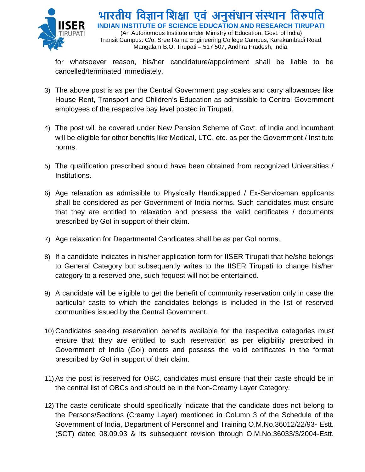

(An Autonomous Institute under Ministry of Education, Govt. of India) Transit Campus: C/o. Sree Rama Engineering College Campus, Karakambadi Road, Mangalam B.O, Tirupati – 517 507, Andhra Pradesh, India.

for whatsoever reason, his/her candidature/appointment shall be liable to be cancelled/terminated immediately.

- 3) The above post is as per the Central Government pay scales and carry allowances like House Rent, Transport and Children's Education as admissible to Central Government employees of the respective pay level posted in Tirupati.
- 4) The post will be covered under New Pension Scheme of Govt. of India and incumbent will be eligible for other benefits like Medical, LTC, etc. as per the Government / Institute norms.
- 5) The qualification prescribed should have been obtained from recognized Universities / Institutions.
- 6) Age relaxation as admissible to Physically Handicapped / Ex-Serviceman applicants shall be considered as per Government of India norms. Such candidates must ensure that they are entitled to relaxation and possess the valid certificates / documents prescribed by GoI in support of their claim.
- 7) Age relaxation for Departmental Candidates shall be as per GoI norms.
- 8) If a candidate indicates in his/her application form for IISER Tirupati that he/she belongs to General Category but subsequently writes to the IISER Tirupati to change his/her category to a reserved one, such request will not be entertained.
- 9) A candidate will be eligible to get the benefit of community reservation only in case the particular caste to which the candidates belongs is included in the list of reserved communities issued by the Central Government.
- 10) Candidates seeking reservation benefits available for the respective categories must ensure that they are entitled to such reservation as per eligibility prescribed in Government of India (GoI) orders and possess the valid certificates in the format prescribed by GoI in support of their claim.
- 11) As the post is reserved for OBC, candidates must ensure that their caste should be in the central list of OBCs and should be in the Non-Creamy Layer Category.
- 12) The caste certificate should specifically indicate that the candidate does not belong to the Persons/Sections (Creamy Layer) mentioned in Column 3 of the Schedule of the Government of India, Department of Personnel and Training O.M.No.36012/22/93- Estt. (SCT) dated 08.09.93 & its subsequent revision through O.M.No.36033/3/2004-Estt.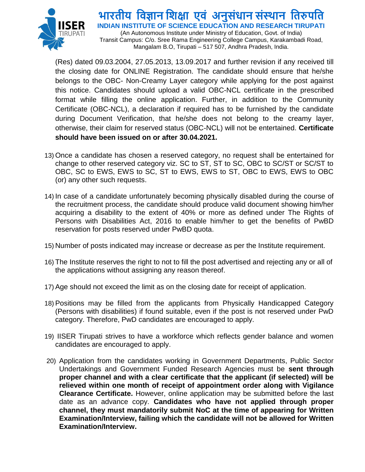

(An Autonomous Institute under Ministry of Education, Govt. of India) Transit Campus: C/o. Sree Rama Engineering College Campus, Karakambadi Road, Mangalam B.O, Tirupati – 517 507, Andhra Pradesh, India.

(Res) dated 09.03.2004, 27.05.2013, 13.09.2017 and further revision if any received till the closing date for ONLINE Registration. The candidate should ensure that he/she belongs to the OBC- Non-Creamy Layer category while applying for the post against this notice. Candidates should upload a valid OBC-NCL certificate in the prescribed format while filling the online application. Further, in addition to the Community Certificate (OBC-NCL), a declaration if required has to be furnished by the candidate during Document Verification, that he/she does not belong to the creamy layer, otherwise, their claim for reserved status (OBC-NCL) will not be entertained. **Certificate should have been issued on or after 30.04.2021.**

- 13) Once a candidate has chosen a reserved category, no request shall be entertained for change to other reserved category viz. SC to ST, ST to SC, OBC to SC/ST or SC/ST to OBC, SC to EWS, EWS to SC, ST to EWS, EWS to ST, OBC to EWS, EWS to OBC (or) any other such requests.
- 14) In case of a candidate unfortunately becoming physically disabled during the course of the recruitment process, the candidate should produce valid document showing him/her acquiring a disability to the extent of 40% or more as defined under The Rights of Persons with Disabilities Act, 2016 to enable him/her to get the benefits of PwBD reservation for posts reserved under PwBD quota.
- 15) Number of posts indicated may increase or decrease as per the Institute requirement.
- 16) The Institute reserves the right to not to fill the post advertised and rejecting any or all of the applications without assigning any reason thereof.
- 17) Age should not exceed the limit as on the closing date for receipt of application.
- 18) Positions may be filled from the applicants from Physically Handicapped Category (Persons with disabilities) if found suitable, even if the post is not reserved under PwD category. Therefore, PwD candidates are encouraged to apply.
- 19) IISER Tirupati strives to have a workforce which reflects gender balance and women candidates are encouraged to apply.
- 20) Application from the candidates working in Government Departments, Public Sector Undertakings and Government Funded Research Agencies must be **sent through proper channel and with a clear certificate that the applicant (if selected) will be relieved within one month of receipt of appointment order along with Vigilance Clearance Certificate.** However, online application may be submitted before the last date as an advance copy. **Candidates who have not applied through proper channel, they must mandatorily submit NoC at the time of appearing for Written Examination/Interview, failing which the candidate will not be allowed for Written Examination/Interview.**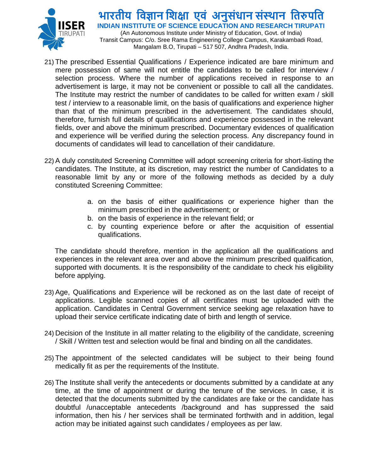

(An Autonomous Institute under Ministry of Education, Govt. of India) Transit Campus: C/o. Sree Rama Engineering College Campus, Karakambadi Road, Mangalam B.O, Tirupati – 517 507, Andhra Pradesh, India.

- 21) The prescribed Essential Qualifications / Experience indicated are bare minimum and mere possession of same will not entitle the candidates to be called for interview / selection process. Where the number of applications received in response to an advertisement is large, it may not be convenient or possible to call all the candidates. The Institute may restrict the number of candidates to be called for written exam / skill test / interview to a reasonable limit, on the basis of qualifications and experience higher than that of the minimum prescribed in the advertisement. The candidates should, therefore, furnish full details of qualifications and experience possessed in the relevant fields, over and above the minimum prescribed. Documentary evidences of qualification and experience will be verified during the selection process. Any discrepancy found in documents of candidates will lead to cancellation of their candidature.
- 22) A duly constituted Screening Committee will adopt screening criteria for short-listing the candidates. The Institute, at its discretion, may restrict the number of Candidates to a reasonable limit by any or more of the following methods as decided by a duly constituted Screening Committee:
	- a. on the basis of either qualifications or experience higher than the minimum prescribed in the advertisement; or
	- b. on the basis of experience in the relevant field; or
	- c. by counting experience before or after the acquisition of essential qualifications.

The candidate should therefore, mention in the application all the qualifications and experiences in the relevant area over and above the minimum prescribed qualification, supported with documents. It is the responsibility of the candidate to check his eligibility before applying.

- 23) Age, Qualifications and Experience will be reckoned as on the last date of receipt of applications. Legible scanned copies of all certificates must be uploaded with the application. Candidates in Central Government service seeking age relaxation have to upload their service certificate indicating date of birth and length of service.
- 24) Decision of the Institute in all matter relating to the eligibility of the candidate, screening / Skill / Written test and selection would be final and binding on all the candidates.
- 25) The appointment of the selected candidates will be subject to their being found medically fit as per the requirements of the Institute.
- 26) The Institute shall verify the antecedents or documents submitted by a candidate at any time, at the time of appointment or during the tenure of the services. In case, it is detected that the documents submitted by the candidates are fake or the candidate has doubtful /unacceptable antecedents /background and has suppressed the said information, then his / her services shall be terminated forthwith and in addition, legal action may be initiated against such candidates / employees as per law.